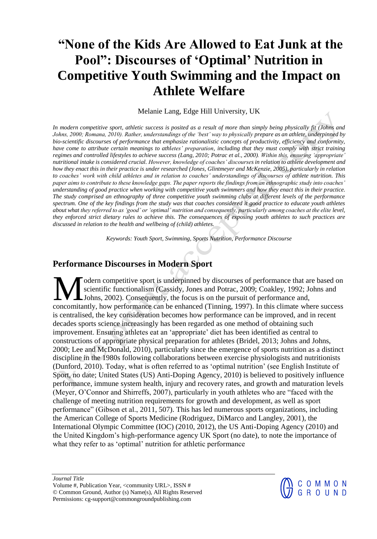# **"None of the Kids Are Allowed to Eat Junk at the Pool": Discourses of 'Optimal' Nutrition in Competitive Youth Swimming and the Impact on Athlete Welfare**

Melanie Lang, Edge Hill University, UK

*In modern competitive sport, athletic success is posited as a result of more than simply being physically fit (Johns and Johns, 2000; Romana, 2010). Rather, understandings of the 'best' way to physically prepare as an athlete, underpinned by bio-scientific discourses of performance that emphasize rationalistic concepts of productivity, efficiency and conformity, have come to attribute certain meanings to athletes' preparation, including that they must comply with strict training regimes and controlled lifestyles to achieve success (Lang, 2010; Potrac et al., 2000). Within this, ensuring 'appropriate' nutritional intake is considered crucial. However, knowledge of coaches' discourses in relation to athlete development and how they enact this in their practice is under researched (Jones, Glintmeyer and McKenzie, 2005), particularly in relation to coaches' work with child athletes and in relation to coaches' understandings of discourses of athlete nutrition. This paper aims to contribute to these knowledge gaps. The paper reports the findings from an ethnographic study into coaches' understanding of good practice when working with competitive youth swimmers and how they enact this in their practice. The study comprised an ethnography of three competitive youth swimming clubs at different levels of the performance spectrum. One of the key findings from the study was that coaches considered it good practice to educate youth athletes about what they referred to as 'good' or 'optimal' nutrition and consequently, particularly among coaches at the elite level, they enforced strict dietary rules to achieve this. The consequences of exposing youth athletes to such practices are discussed in relation to the health and wellbeing of (child) athletes.*

*Keywords: Youth Sport, Swimming, Sports Nutrition, Performance Discourse*

## **Performance Discourses in Modern Sport**

odern competitive sport is underpinned by discourses of performance that are based on scientific functionalism (Cassidy, Jones and Potrac, 2009; Coakley, 1992; Johns and Johns, 2002). Consequently, the focus is on the pursuit of performance and, M odern competitive sport is underpinned by discourses of performance that are based on scientific functionalism (Cassidy, Jones and Potrac, 2009; Coakley, 1992; Johns and Concomitantly, how performance can be enhanced (Ti is centralised, the key consideration becomes how performance can be improved, and in recent decades sports science increasingly has been regarded as one method of obtaining such improvement. Ensuring athletes eat an 'appropriate' diet has been identified as central to constructions of appropriate physical preparation for athletes (Bridel, 2013; Johns and Johns, 2000; Lee and McDonald, 2010), particularly since the emergence of sports nutrition as a distinct discipline in the 1980s following collaborations between exercise physiologists and nutritionists (Dunford, 2010). Today, what is often referred to as 'optimal nutrition' (see English Institute of Sport, no date; United States (US) Anti-Doping Agency, 2010) is believed to positively influence performance, immune system health, injury and recovery rates, and growth and maturation levels (Meyer, O'Connor and Shirreffs, 2007), particularly in youth athletes who are "faced with the challenge of meeting nutrition requirements for growth and development, as well as sport performance" (Gibson et al., 2011, 507). This has led numerous sports organizations, including the American College of Sports Medicine (Rodriguez, DiMarco and Langley, 2001), the International Olympic Committee (IOC) (2010, 2012), the US Anti-Doping Agency (2010) and the United Kingdom's high-performance agency UK Sport (no date), to note the importance of what they refer to as 'optimal' nutrition for athletic performance

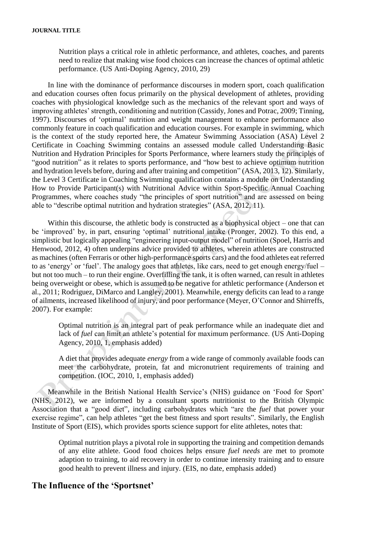Nutrition plays a critical role in athletic performance, and athletes, coaches, and parents need to realize that making wise food choices can increase the chances of optimal athletic performance. (US Anti-Doping Agency, 2010, 29)

In line with the dominance of performance discourses in modern sport, coach qualification and education courses often focus primarily on the physical development of athletes, providing coaches with physiological knowledge such as the mechanics of the relevant sport and ways of improving athletes' strength, conditioning and nutrition (Cassidy, Jones and Potrac, 2009; Tinning, 1997). Discourses of 'optimal' nutrition and weight management to enhance performance also commonly feature in coach qualification and education courses. For example in swimming, which is the context of the study reported here, the Amateur Swimming Association (ASA) Level 2 Certificate in Coaching Swimming contains an assessed module called Understanding Basic Nutrition and Hydration Principles for Sports Performance, where learners study the principles of "good nutrition" as it relates to sports performance, and "how best to achieve optimum nutrition and hydration levels before, during and after training and competition" (ASA, 2013, 12). Similarly, the Level 3 Certificate in Coaching Swimming qualification contains a module on Understanding How to Provide Participant(s) with Nutritional Advice within Sport-Specific Annual Coaching Programmes, where coaches study "the principles of sport nutrition" and are assessed on being able to "describe optimal nutrition and hydration strategies" (ASA, 2012, 11).

Within this discourse, the athletic body is constructed as a biophysical object – one that can be 'improved' by, in part, ensuring 'optimal' nutritional intake (Pronger, 2002). To this end, a simplistic but logically appealing "engineering input-output model" of nutrition (Spoel, Harris and Henwood, 2012, 4) often underpins advice provided to athletes, wherein athletes are constructed as machines (often Ferraris or other high-performance sports cars) and the food athletes eat referred to as 'energy' or 'fuel'. The analogy goes that athletes, like cars, need to get enough energy/fuel – but not too much – to run their engine. Overfilling the tank, it is often warned, can result in athletes being overweight or obese, which is assumed to be negative for athletic performance (Anderson et al., 2011; Rodriguez, DiMarco and Langley, 2001). Meanwhile, energy deficits can lead to a range of ailments, increased likelihood of injury, and poor performance (Meyer, O'Connor and Shirreffs, 2007). For example:

Optimal nutrition is an integral part of peak performance while an inadequate diet and lack of *fuel* can limit an athlete's potential for maximum performance. (US Anti-Doping Agency, 2010, 1, emphasis added)

A diet that provides adequate *energy* from a wide range of commonly available foods can meet the carbohydrate, protein, fat and micronutrient requirements of training and competition. (IOC, 2010, 1, emphasis added)

Meanwhile in the British National Health Service's (NHS) guidance on 'Food for Sport' (NHS, 2012), we are informed by a consultant sports nutritionist to the British Olympic Association that a "good diet", including carbohydrates which "are the *fuel* that power your exercise regime", can help athletes "get the best fitness and sport results". Similarly, the English Institute of Sport (EIS), which provides sports science support for elite athletes, notes that:

Optimal nutrition plays a pivotal role in supporting the training and competition demands of any elite athlete. Good food choices helps ensure *fuel needs* are met to promote adaption to training, to aid recovery in order to continue intensity training and to ensure good health to prevent illness and injury. (EIS, no date, emphasis added)

## **The Influence of the 'Sportsnet'**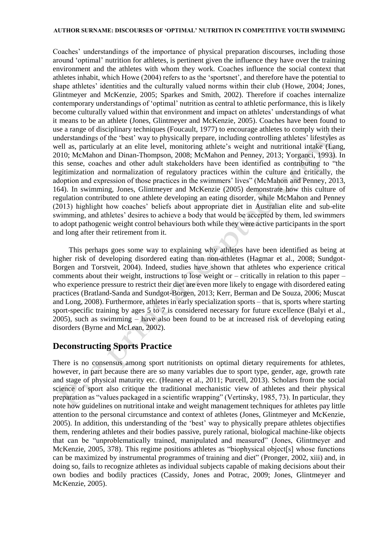Coaches' understandings of the importance of physical preparation discourses, including those around 'optimal' nutrition for athletes, is pertinent given the influence they have over the training environment and the athletes with whom they work. Coaches influence the social context that athletes inhabit, which Howe (2004) refers to as the 'sportsnet', and therefore have the potential to shape athletes' identities and the culturally valued norms within their club (Howe, 2004; Jones, Glintmeyer and McKenzie, 2005; Sparkes and Smith, 2002). Therefore if coaches internalize contemporary understandings of 'optimal' nutrition as central to athletic performance, this is likely become culturally valued within that environment and impact on athletes' understandings of what it means to be an athlete (Jones, Glintmeyer and McKenzie, 2005). Coaches have been found to use a range of disciplinary techniques (Foucault, 1977) to encourage athletes to comply with their understandings of the 'best' way to physically prepare, including controlling athletes' lifestyles as well as, particularly at an elite level, monitoring athlete's weight and nutritional intake (Lang, 2010; McMahon and Dinan-Thompson, 2008; McMahon and Penney, 2013; Yorganci, 1993). In this sense, coaches and other adult stakeholders have been identified as contributing to "the legitimization and normalization of regulatory practices within the culture and critically, the adoption and expression of those practices in the swimmers' lives" (McMahon and Penney, 2013, 164). In swimming, Jones, Glintmeyer and McKenzie (2005) demonstrate how this culture of regulation contributed to one athlete developing an eating disorder, while McMahon and Penney (2013) highlight how coaches' beliefs about appropriate diet in Australian elite and sub-elite swimming, and athletes' desires to achieve a body that would be accepted by them, led swimmers to adopt pathogenic weight control behaviours both while they were active participants in the sport and long after their retirement from it.

This perhaps goes some way to explaining why athletes have been identified as being at higher risk of developing disordered eating than non-athletes (Hagmar et al., 2008; Sundgot-Borgen and Torstveit, 2004). Indeed, studies have shown that athletes who experience critical comments about their weight, instructions to lose weight or – critically in relation to this paper – who experience pressure to restrict their diet are even more likely to engage with disordered eating practices (Bratland-Sanda and Sundgot-Borgen, 2013; Kerr, Berman and De Souza, 2006; Muscat and Long, 2008). Furthermore, athletes in early specialization sports – that is, sports where starting sport-specific training by ages 5 to 7 is considered necessary for future excellence (Balyi et al., 2005), such as swimming – have also been found to be at increased risk of developing eating disorders (Byrne and McLean, 2002).

## **Deconstructing Sports Practice**

There is no consensus among sport nutritionists on optimal dietary requirements for athletes, however, in part because there are so many variables due to sport type, gender, age, growth rate and stage of physical maturity etc. (Heaney et al., 2011; Purcell, 2013). Scholars from the social science of sport also critique the traditional mechanistic view of athletes and their physical preparation as "values packaged in a scientific wrapping" (Vertinsky, 1985, 73). In particular, they note how guidelines on nutritional intake and weight management techniques for athletes pay little attention to the personal circumstance and context of athletes (Jones, Glintmeyer and McKenzie, 2005). In addition, this understanding of the 'best' way to physically prepare athletes objectifies them, rendering athletes and their bodies passive, purely rational, biological machine-like objects that can be "unproblematically trained, manipulated and measured" (Jones, Glintmeyer and McKenzie, 2005, 378). This regime positions athletes as "biophysical object[s] whose functions can be maximized by instrumental programmes of training and diet" (Pronger, 2002, xiii) and, in doing so, fails to recognize athletes as individual subjects capable of making decisions about their own bodies and bodily practices (Cassidy, Jones and Potrac, 2009; Jones, Glintmeyer and McKenzie, 2005).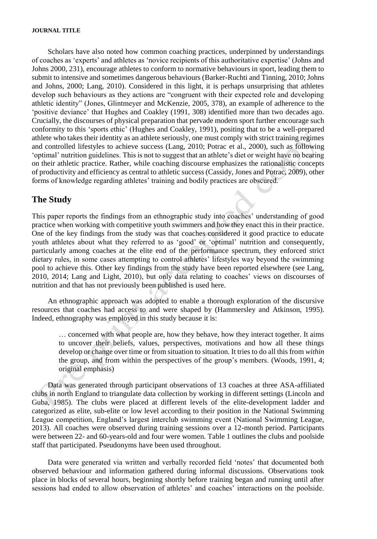Scholars have also noted how common coaching practices, underpinned by understandings of coaches as 'experts' and athletes as 'novice recipients of this authoritative expertise' (Johns and Johns 2000, 231), encourage athletes to conform to normative behaviours in sport, leading them to submit to intensive and sometimes dangerous behaviours (Barker-Ruchti and Tinning, 2010; Johns and Johns, 2000; Lang, 2010). Considered in this light, it is perhaps unsurprising that athletes develop such behaviours as they actions are "congruent with their expected role and developing athletic identity" (Jones, Glintmeyer and McKenzie, 2005, 378), an example of adherence to the 'positive deviance' that Hughes and Coakley (1991, 308) identified more than two decades ago. Crucially, the discourses of physical preparation that pervade modern sport further encourage such conformity to this 'sports ethic' (Hughes and Coakley, 1991), positing that to be a well-prepared athlete who takes their identity as an athlete seriously, one must comply with strict training regimes and controlled lifestyles to achieve success (Lang, 2010; Potrac et al., 2000), such as following 'optimal' nutrition guidelines. This is not to suggest that an athlete's diet or weight have no bearing on their athletic practice. Rather, while coaching discourse emphasizes the rationalistic concepts of productivity and efficiency as central to athletic success (Cassidy, Jones and Potrac, 2009), other forms of knowledge regarding athletes' training and bodily practices are obscured.

## **The Study**

This paper reports the findings from an ethnographic study into coaches' understanding of good practice when working with competitive youth swimmers and how they enact this in their practice. One of the key findings from the study was that coaches considered it good practice to educate youth athletes about what they referred to as 'good' or 'optimal' nutrition and consequently, particularly among coaches at the elite end of the performance spectrum, they enforced strict dietary rules, in some cases attempting to control athletes' lifestyles way beyond the swimming pool to achieve this. Other key findings from the study have been reported elsewhere (see Lang, 2010, 2014; Lang and Light, 2010), but only data relating to coaches' views on discourses of nutrition and that has not previously been published is used here.

An ethnographic approach was adopted to enable a thorough exploration of the discursive resources that coaches had access to and were shaped by (Hammersley and Atkinson, 1995). Indeed, ethnography was employed in this study because it is:

… concerned with what people are, how they behave, how they interact together. It aims to uncover their beliefs, values, perspectives, motivations and how all these things develop or change over time or from situation to situation. It tries to do all this from *within* the group, and from within the perspectives of the group's members. (Woods, 1991, 4; original emphasis)

Data was generated through participant observations of 13 coaches at three ASA-affiliated clubs in north England to triangulate data collection by working in different settings (Lincoln and Guba, 1985). The clubs were placed at different levels of the elite-development ladder and categorized as elite, sub-elite or low level according to their position in the National Swimming League competition, England's largest interclub swimming event (National Swimming League, 2013). All coaches were observed during training sessions over a 12-month period. Participants were between 22- and 60-years-old and four were women. Table 1 outlines the clubs and poolside staff that participated. Pseudonyms have been used throughout.

Data were generated via written and verbally recorded field 'notes' that documented both observed behaviour and information gathered during informal discussions. Observations took place in blocks of several hours, beginning shortly before training began and running until after sessions had ended to allow observation of athletes' and coaches' interactions on the poolside.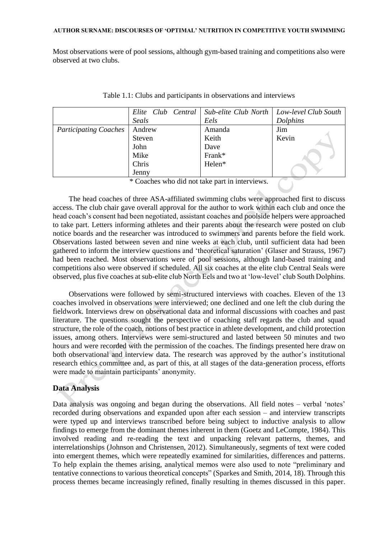Most observations were of pool sessions, although gym-based training and competitions also were observed at two clubs.

|                              | Elite Club Central |        | Sub-elite Club North   Low-level Club South |
|------------------------------|--------------------|--------|---------------------------------------------|
|                              | Seals              | Eels   | <b>Dolphins</b>                             |
| <b>Participating Coaches</b> | Andrew             | Amanda | Jim                                         |
|                              | Steven             | Keith  | Kevin                                       |
|                              | John               | Dave   |                                             |
|                              | Mike               | Frank* |                                             |
|                              | Chris              | Helen* |                                             |
|                              | Jenny              |        |                                             |

|  | Table 1.1: Clubs and participants in observations and interviews |  |  |  |  |
|--|------------------------------------------------------------------|--|--|--|--|
|--|------------------------------------------------------------------|--|--|--|--|

\* Coaches who did not take part in interviews.

The head coaches of three ASA-affiliated swimming clubs were approached first to discuss access. The club chair gave overall approval for the author to work within each club and once the head coach's consent had been negotiated, assistant coaches and poolside helpers were approached to take part. Letters informing athletes and their parents about the research were posted on club notice boards and the researcher was introduced to swimmers and parents before the field work. Observations lasted between seven and nine weeks at each club, until sufficient data had been gathered to inform the interview questions and 'theoretical saturation' (Glaser and Strauss, 1967) had been reached. Most observations were of pool sessions, although land-based training and competitions also were observed if scheduled. All six coaches at the elite club Central Seals were observed, plus five coaches at sub-elite club North Eels and two at 'low-level' club South Dolphins.

Observations were followed by semi-structured interviews with coaches. Eleven of the 13 coaches involved in observations were interviewed; one declined and one left the club during the fieldwork. Interviews drew on observational data and informal discussions with coaches and past literature. The questions sought the perspective of coaching staff regards the club and squad structure, the role of the coach, notions of best practice in athlete development, and child protection issues, among others. Interviews were semi-structured and lasted between 50 minutes and two hours and were recorded with the permission of the coaches. The findings presented here draw on both observational and interview data. The research was approved by the author's institutional research ethics committee and, as part of this, at all stages of the data-generation process, efforts were made to maintain participants' anonymity.

### **Data Analysis**

Data analysis was ongoing and began during the observations. All field notes – verbal 'notes' recorded during observations and expanded upon after each session – and interview transcripts were typed up and interviews transcribed before being subject to inductive analysis to allow findings to emerge from the dominant themes inherent in them (Goetz and LeCompte, 1984). This involved reading and re-reading the text and unpacking relevant patterns, themes, and interrelationships (Johnson and Christensen, 2012). Simultaneously, segments of text were coded into emergent themes, which were repeatedly examined for similarities, differences and patterns. To help explain the themes arising, analytical memos were also used to note "preliminary and tentative connections to various theoretical concepts" (Sparkes and Smith, 2014, 18). Through this process themes became increasingly refined, finally resulting in themes discussed in this paper.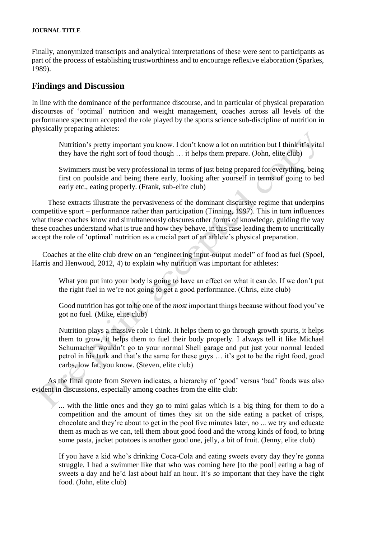Finally, anonymized transcripts and analytical interpretations of these were sent to participants as part of the process of establishing trustworthiness and to encourage reflexive elaboration (Sparkes, 1989).

## **Findings and Discussion**

In line with the dominance of the performance discourse, and in particular of physical preparation discourses of 'optimal' nutrition and weight management, coaches across all levels of the performance spectrum accepted the role played by the sports science sub-discipline of nutrition in physically preparing athletes:

Nutrition's pretty important you know. I don't know a lot on nutrition but I think it's vital they have the right sort of food though … it helps them prepare. (John, elite club)

Swimmers must be very professional in terms of just being prepared for everything, being first on poolside and being there early, looking after yourself in terms of going to bed early etc., eating properly. (Frank, sub-elite club)

These extracts illustrate the pervasiveness of the dominant discursive regime that underpins competitive sport – performance rather than participation (Tinning, 1997). This in turn influences what these coaches know and simultaneously obscures other forms of knowledge, guiding the way these coaches understand what is true and how they behave, in this case leading them to uncritically accept the role of 'optimal' nutrition as a crucial part of an athlete's physical preparation.

Coaches at the elite club drew on an "engineering input-output model" of food as fuel (Spoel, Harris and Henwood, 2012, 4) to explain why nutrition was important for athletes:

What you put into your body is going to have an effect on what it can do. If we don't put the right fuel in we're not going to get a good performance. (Chris, elite club)

Good nutrition has got to be one of the *most* important things because without food you've got no fuel. (Mike, elite club)

Nutrition plays a massive role I think. It helps them to go through growth spurts, it helps them to grow, it helps them to fuel their body properly. I always tell it like Michael Schumacher wouldn't go to your normal Shell garage and put just your normal leaded petrol in his tank and that's the same for these guys … it's got to be the right food, good carbs, low fat, you know. (Steven, elite club)

As the final quote from Steven indicates, a hierarchy of 'good' versus 'bad' foods was also evident in discussions, especially among coaches from the elite club:

... with the little ones and they go to mini galas which is a big thing for them to do a competition and the amount of times they sit on the side eating a packet of crisps, chocolate and they're about to get in the pool five minutes later, no ... we try and educate them as much as we can, tell them about good food and the wrong kinds of food, to bring some pasta, jacket potatoes is another good one, jelly, a bit of fruit. (Jenny, elite club)

If you have a kid who's drinking Coca-Cola and eating sweets every day they're gonna struggle. I had a swimmer like that who was coming here [to the pool] eating a bag of sweets a day and he'd last about half an hour. It's *so* important that they have the right food. (John, elite club)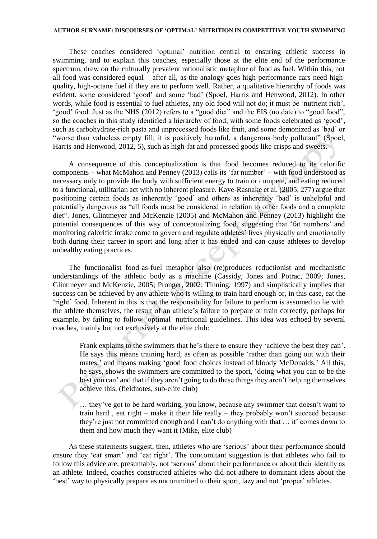These coaches considered 'optimal' nutrition central to ensuring athletic success in swimming, and to explain this coaches, especially those at the elite end of the performance spectrum, drew on the culturally prevalent rationalistic metaphor of food as fuel. Within this, not all food was considered equal – after all, as the analogy goes high-performance cars need highquality, high-octane fuel if they are to perform well. Rather, a qualitative hierarchy of foods was evident, some considered 'good' and some 'bad' (Spoel, Harris and Henwood, 2012). In other words, while food is essential to fuel athletes, any old food will not do; it must be 'nutrient rich', 'good' food. Just as the NHS (2012) refers to a "good diet" and the EIS (no date) to "good food", so the coaches in this study identified a hierarchy of food, with some foods celebrated as 'good', such as carbohydrate-rich pasta and unprocessed foods like fruit, and some demonized as 'bad' or "worse than valueless empty fill; it is positively harmful, a dangerous body pollutant" (Spoel, Harris and Henwood, 2012, 5), such as high-fat and processed goods like crisps and sweets.

A consequence of this conceptualization is that food becomes reduced to its calorific components – what McMahon and Penney (2013) calls its 'fat number' – with food understood as necessary only to provide the body with sufficient energy to train or compete, and eating reduced to a functional, utilitarian act with no inherent pleasure. Kaye-Rasnake et al. (2005, 277) argue that positioning certain foods as inherently 'good' and others as inherently 'bad' is unhelpful and potentially dangerous as "all foods must be considered in relation to other foods and a complete diet". Jones, Glintmeyer and McKenzie (2005) and McMahon and Penney (2013) highlight the potential consequences of this way of conceptualizing food, suggesting that 'fat numbers' and monitoring calorific intake come to govern and regulate athletes' lives physically and emotionally both during their career in sport and long after it has ended and can cause athletes to develop unhealthy eating practices.

The functionalist food-as-fuel metaphor also (re)produces reductionist and mechanistic understandings of the athletic body as a machine (Cassidy, Jones and Potrac, 2009; Jones, Glintmeyer and McKenzie, 2005; Pronger, 2002; Tinning, 1997) and simplistically implies that success can be achieved by any athlete who is willing to train hard enough or, in this case, eat the 'right' food. Inherent in this is that the responsibility for failure to perform is assumed to lie with the athlete themselves, the result of an athlete's failure to prepare or train correctly, perhaps for example, by failing to follow 'optimal' nutritional guidelines. This idea was echoed by several coaches, mainly but not exclusively at the elite club:

Frank explains to the swimmers that he's there to ensure they 'achieve the best they can'. He says this means training hard, as often as possible 'rather than going out with their mates,' and means making 'good food choices instead of bloody McDonalds.' All this, he says, shows the swimmers are committed to the sport, 'doing what you can to be the best you can' and that if they aren't going to do these things they aren't helping themselves achieve this. (fieldnotes, sub-elite club)

… they've got to be hard working, you know, because any swimmer that doesn't want to train hard , eat right – make it their life really – they probably won't succeed because they're just not committed enough and I can't do anything with that … it' comes down to them and how much they want it (Mike, elite club)

As these statements suggest, then, athletes who are 'serious' about their performance should ensure they 'eat smart' and 'eat right'. The concomitant suggestion is that athletes who fail to follow this advice are, presumably, not 'serious' about their performance or about their identity as an athlete. Indeed, coaches constructed athletes who did not adhere to dominant ideas about the 'best' way to physically prepare as uncommitted to their sport, lazy and not 'proper' athletes.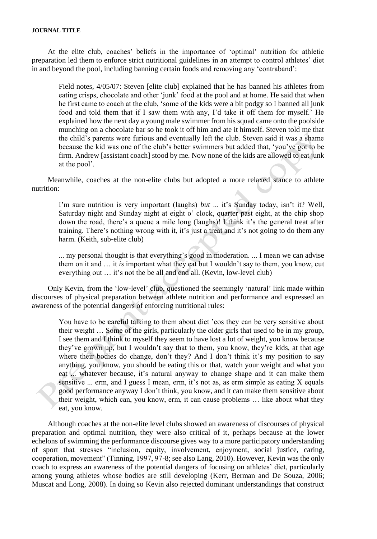At the elite club, coaches' beliefs in the importance of 'optimal' nutrition for athletic preparation led them to enforce strict nutritional guidelines in an attempt to control athletes' diet in and beyond the pool, including banning certain foods and removing any 'contraband':

Field notes, 4/05/07: Steven [elite club] explained that he has banned his athletes from eating crisps, chocolate and other 'junk' food at the pool and at home. He said that when he first came to coach at the club, 'some of the kids were a bit podgy so I banned all junk food and told them that if I saw them with any, I'd take it off them for myself.' He explained how the next day a young male swimmer from his squad came onto the poolside munching on a chocolate bar so he took it off him and ate it himself. Steven told me that the child's parents were furious and eventually left the club. Steven said it was a shame because the kid was one of the club's better swimmers but added that, 'you've got to be firm. Andrew [assistant coach] stood by me. Now none of the kids are allowed to eat junk at the pool'.

Meanwhile, coaches at the non-elite clubs but adopted a more relaxed stance to athlete nutrition:

I'm sure nutrition is very important (laughs) *but* ... it's Sunday today, isn't it? Well, Saturday night and Sunday night at eight o' clock, quarter past eight, at the chip shop down the road, there's a queue a mile long (laughs)! I think it's the general treat after training. There's nothing wrong with it, it's just a treat and it's not going to do them any harm. (Keith, sub-elite club)

... my personal thought is that everything's good in moderation. ... I mean we can advise them on it and … it *is* important what they eat but I wouldn't say to them, you know, cut everything out … it's not the be all and end all. (Kevin, low-level club)

Only Kevin, from the 'low-level' club, questioned the seemingly 'natural' link made within discourses of physical preparation between athlete nutrition and performance and expressed an awareness of the potential dangers of enforcing nutritional rules:

You have to be careful talking to them about diet 'cos they can be very sensitive about their weight … Some of the girls, particularly the older girls that used to be in my group, I see them and I think to myself they seem to have lost a lot of weight, you know because they've grown up, but I wouldn't say that to them, you know, they're kids, at that age where their bodies do change, don't they? And I don't think it's my position to say anything, you know, you should be eating this or that, watch your weight and what you eat ... whatever because, it's natural anyway to change shape and it can make them sensitive  $\ldots$  erm, and I guess I mean, erm, it's not as, as erm simple as eating X equals good performance anyway I don't think, you know, and it can make them sensitive about their weight, which can, you know, erm, it can cause problems … like about what they eat, you know.

Although coaches at the non-elite level clubs showed an awareness of discourses of physical preparation and optimal nutrition, they were also critical of it, perhaps because at the lower echelons of swimming the performance discourse gives way to a more participatory understanding of sport that stresses "inclusion, equity, involvement, enjoyment, social justice, caring, cooperation, movement" (Tinning, 1997, 97-8; see also Lang, 2010). However, Kevin was the only coach to express an awareness of the potential dangers of focusing on athletes' diet, particularly among young athletes whose bodies are still developing (Kerr, Berman and De Souza, 2006; Muscat and Long, 2008). In doing so Kevin also rejected dominant understandings that construct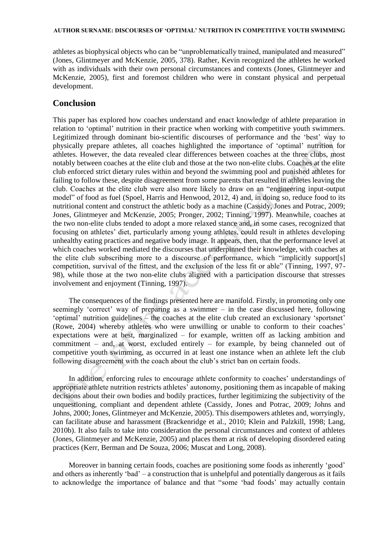athletes as biophysical objects who can be "unproblematically trained, manipulated and measured" (Jones, Glintmeyer and McKenzie, 2005, 378). Rather, Kevin recognized the athletes he worked with as individuals with their own personal circumstances and contexts (Jones, Glintmeyer and McKenzie, 2005), first and foremost children who were in constant physical and perpetual development.

## **Conclusion**

This paper has explored how coaches understand and enact knowledge of athlete preparation in relation to 'optimal' nutrition in their practice when working with competitive youth swimmers. Legitimized through dominant bio-scientific discourses of performance and the 'best' way to physically prepare athletes, all coaches highlighted the importance of 'optimal' nutrition for athletes. However, the data revealed clear differences between coaches at the three clubs, most notably between coaches at the elite club and those at the two non-elite clubs. Coaches at the elite club enforced strict dietary rules within and beyond the swimming pool and punished athletes for failing to follow these, despite disagreement from some parents that resulted in athletes leaving the club. Coaches at the elite club were also more likely to draw on an "engineering input-output model" of food as fuel (Spoel, Harris and Henwood, 2012, 4) and, in doing so, reduce food to its nutritional content and construct the athletic body as a machine (Cassidy, Jones and Potrac, 2009; Jones, Glintmeyer and McKenzie, 2005; Pronger, 2002; Tinning, 1997). Meanwhile, coaches at the two non-elite clubs tended to adopt a more relaxed stance and, in some cases, recognized that focusing on athletes' diet, particularly among young athletes, could result in athletes developing unhealthy eating practices and negative body image. It appears, then, that the performance level at which coaches worked mediated the discourses that underpinned their knowledge, with coaches at the elite club subscribing more to a discourse of performance, which "implicitly support[s] competition, survival of the fittest, and the exclusion of the less fit or able" (Tinning, 1997, 97- 98), while those at the two non-elite clubs aligned with a participation discourse that stresses involvement and enjoyment (Tinning, 1997).

The consequences of the findings presented here are manifold. Firstly, in promoting only one seemingly 'correct' way of preparing as a swimmer – in the case discussed here, following 'optimal' nutrition guidelines – the coaches at the elite club created an exclusionary 'sportsnet' (Rowe, 2004) whereby athletes who were unwilling or unable to conform to their coaches' expectations were at best, marginalized – for example, written off as lacking ambition and commitment – and, at worst, excluded entirely – for example, by being channeled out of competitive youth swimming, as occurred in at least one instance when an athlete left the club following disagreement with the coach about the club's strict ban on certain foods.

In addition, enforcing rules to encourage athlete conformity to coaches' understandings of appropriate athlete nutrition restricts athletes' autonomy, positioning them as incapable of making decisions about their own bodies and bodily practices, further legitimizing the subjectivity of the unquestioning, compliant and dependent athlete (Cassidy, Jones and Potrac, 2009; Johns and Johns, 2000; Jones, Glintmeyer and McKenzie, 2005). This disempowers athletes and, worryingly, can facilitate abuse and harassment (Brackenridge et al., 2010; Klein and Palzkill, 1998; Lang, 2010b). It also fails to take into consideration the personal circumstances and context of athletes (Jones, Glintmeyer and McKenzie, 2005) and places them at risk of developing disordered eating practices (Kerr, Berman and De Souza, 2006; Muscat and Long, 2008).

Moreover in banning certain foods, coaches are positioning some foods as inherently 'good' and others as inherently 'bad' – a construction that is unhelpful and potentially dangerous as it fails to acknowledge the importance of balance and that "some 'bad foods' may actually contain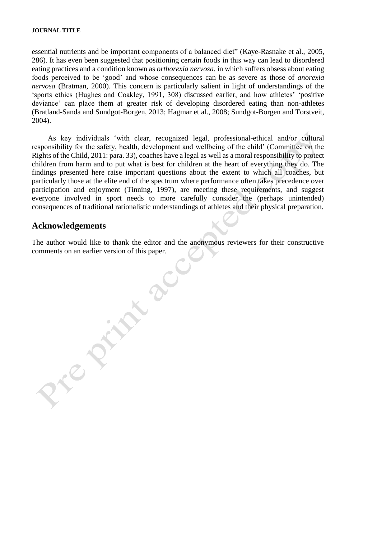essential nutrients and be important components of a balanced diet" (Kaye-Rasnake et al., 2005, 286). It has even been suggested that positioning certain foods in this way can lead to disordered eating practices and a condition known as *orthorexia nervosa*, in which suffers obsess about eating foods perceived to be 'good' and whose consequences can be as severe as those of *anorexia nervosa* (Bratman, 2000). This concern is particularly salient in light of understandings of the 'sports ethics (Hughes and Coakley, 1991, 308) discussed earlier, and how athletes' 'positive deviance' can place them at greater risk of developing disordered eating than non-athletes (Bratland-Sanda and Sundgot-Borgen, 2013; Hagmar et al., 2008; Sundgot-Borgen and Torstveit, 2004).

As key individuals 'with clear, recognized legal, professional-ethical and/or cultural responsibility for the safety, health, development and wellbeing of the child' (Committee on the Rights of the Child, 2011: para. 33), coaches have a legal as well as a moral responsibility to protect children from harm and to put what is best for children at the heart of everything they do. The findings presented here raise important questions about the extent to which all coaches, but particularly those at the elite end of the spectrum where performance often takes precedence over participation and enjoyment (Tinning, 1997), are meeting these requirements, and suggest everyone involved in sport needs to more carefully consider the (perhaps unintended) consequences of traditional rationalistic understandings of athletes and their physical preparation.

## **Acknowledgements**

 $\alpha$ 

The author would like to thank the editor and the anonymous reviewers for their constructive comments on an earlier version of this paper.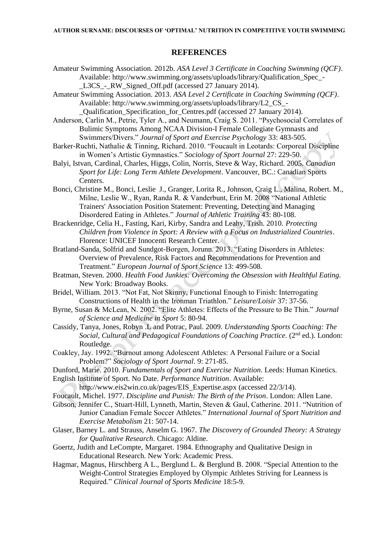#### **REFERENCES**

- Amateur Swimming Association. 2012b. *ASA Level 3 Certificate in Coaching Swimming (QCF)*. Available: [http://www.swimming.org/assets/uploads/library/Qualification\\_Spec\\_-](http://www.swimming.org/assets/uploads/library/Qualification_Spec_-_L3CS_-_RW_Signed_Off.pdf) L3CS - RW Signed Off.pdf (accessed 27 January 2014).
- Amateur Swimming Association. 2013. *ASA Level 2 Certificate in Coaching Swimming (QCF)*. Available: [http://www.swimming.org/assets/uploads/library/L2\\_CS\\_-](http://www.swimming.org/assets/uploads/library/L2_CS_-_Qualification_Specification_for_Centres.pdf) [\\_Qualification\\_Specification\\_for\\_Centres.pdf](http://www.swimming.org/assets/uploads/library/L2_CS_-_Qualification_Specification_for_Centres.pdf) (accessed 27 January 2014).
- Anderson, Carlin M., Petrie, Tyler A., and Neumann, Craig S. 2011. "Psychosocial Correlates of Bulimic Symptoms Among NCAA Division-I Female Collegiate Gymnasts and Swimmers/Divers." *Journal of Sport and Exercise Psychology* 33: 483-505.
- Barker-Ruchti, Nathalie & Tinning, Richard. 2010. "Foucault in Leotards: Corporeal Discipline in Women's Artistic Gymnastics." *Sociology of Sport Journal* 27: 229-50.
- Balyi, Istvan, Cardinal, Charles, Higgs, Colin, Norris, Steve & Way, Richard. 2005. *Canadian Sport for Life: Long Term Athlete Development*. Vancouver, BC.: Canadian Sports Centers.
- Bonci, Christine M., Bonci, Leslie J., Granger, Lorita R., Johnson, Craig L., Malina, Robert. M., Milne, Leslie W., Ryan, Randa R. & Vanderbunt, Erin M. 2008 "National Athletic Trainers' Association Position Statement: Preventing, Detecting and Managing Disordered Eating in Athletes." *Journal of Athletic Training* 43: 80-108.
- Brackenridge, Celia H., Fasting, Kari, Kirby, Sandra and Leahy, Trish. 2010. *Protecting Children from Violence in Sport: A Review with a Focus on Industrialized Countries*. Florence: UNICEF Innocenti Research Center.
- Bratland-Sanda, Solfrid and Sundgot-Borgen, Jorunn. 2013. "Eating Disorders in Athletes: Overview of Prevalence, Risk Factors and Recommendations for Prevention and Treatment." *European Journal of Sport Science* 13: 499-508.
- Bratman, Steven. 2000. *Health Food Junkies: Overcoming the Obsession with Healthful Eating.*  New York: Broadway Books.
- Bridel, William. 2013. "Not Fat, Not Skinny, Functional Enough to Finish: Interrogating Constructions of Health in the Ironman Triathlon." *Leisure/Loisir* 37: 37-56.
- Byrne, Susan & McLean, N. 2002. "Elite Athletes: Effects of the Pressure to Be Thin." *Journal of Science and Medicine in Sport* 5: 80-94.
- Cassidy, Tanya, Jones, Robyn .L and Potrac, Paul. 2009. *Understanding Sports Coaching: The*  Social, Cultural and Pedagogical Foundations of Coaching Practice. (2<sup>nd</sup> ed.). London: Routledge.
- Coakley, Jay. 1992. "Burnout among Adolescent Athletes: A Personal Failure or a Social Problem?" *Sociology of Sport Journal*. 9: 271-85.
- Dunford, Marie. 2010. *Fundamentals of Sport and Exercise Nutrition*. Leeds: Human Kinetics.

English Institute of Sport. No Date. *Performance Nutrition*. Available: [http://www.eis2win.co.uk/pages/EIS\\_Expertise.aspx](http://www.eis2win.co.uk/pages/EIS_Expertise.aspx) (accessed 22/3/14).

- Foucault, Michel. 1977. *Discipline and Punish: The Birth of the Prison*. London: Allen Lane.
- Gibson, Jennifer C., Stuart-Hill, Lynneth, Martin, Steven & Gaul, Catherine. 2011. "Nutrition of Junior Canadian Female Soccer Athletes." *International Journal of Sport Nutrition and Exercise Metabolism* 21: 507-14.
- Glaser, Barney L. and Strauss, Anselm G. 1967. *The Discovery of Grounded Theory: A Strategy for Qualitative Research*. Chicago: Aldine.
- Goertz, Judith and LeCompte, Margaret. 1984. Ethnography and Qualitative Design in Educational Research. New York: Academic Press.
- Hagmar, Magnus, Hirschberg A L., Berglund L. & Berglund B. 2008. "Special Attention to the Weight-Control Strategies Employed by Olympic Athletes Striving for Leanness is Required." *Clinical Journal of Sports Medicine* 18:5-9.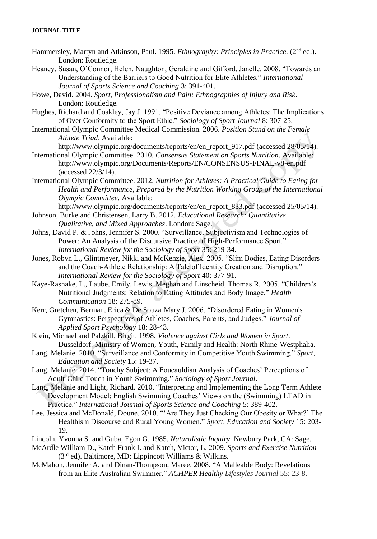- Hammersley, Martyn and Atkinson, Paul. 1995. *Ethnography: Principles in Practice.* (2nd ed.). London: Routledge.
- Heaney, Susan, O'Connor, Helen, Naughton, Geraldine and Gifford, Janelle. 2008. "Towards an Understanding of the Barriers to Good Nutrition for Elite Athletes." *International Journal of Sports Science and Coaching* 3: 391-401.
- Howe, David. 2004. *Sport, Professionalism and Pain: Ethnographies of Injury and Risk*. London: Routledge.
- Hughes, Richard and Coakley, Jay J. 1991. "Positive Deviance among Athletes: The Implications of Over Conformity to the Sport Ethic." *Sociology of Sport Journal* 8: 307-25.
- International Olympic Committee Medical Commission. 2006. *Position Stand on the Female Athlete Triad*. Available:
- [http://www.olympic.org/documents/reports/en/en\\_report\\_917.pdf](http://www.olympic.org/documents/reports/en/en_report_917.pdf) (accessed 28/05/14). International Olympic Committee. 2010. *Consensus Statement on Sports Nutrition*. Available:
	- <http://www.olympic.org/Documents/Reports/EN/CONSENSUS-FINAL-v8-en.pdf> (accessed 22/3/14).
- International Olympic Committee. 2012. *Nutrition for Athletes: A Practical Guide to Eating for Health and Performance, Prepared by the Nutrition Working Group of the International Olympic Committee*. Available:

[http://www.olympic.org/documents/reports/en/en\\_report\\_833.pdf](http://www.olympic.org/documents/reports/en/en_report_833.pdf) (accessed 25/05/14).

- Johnson, Burke and Christensen, Larry B. 2012. *Educational Research: Quantitative, Qualitative, and Mixed Approaches*. London: Sage.
- Johns, David P. & Johns, Jennifer S. 2000. "Surveillance, Subjectivism and Technologies of Power: An Analysis of the Discursive Practice of High-Performance Sport." *International Review for the Sociology of Sport* 35: 219-34.
- Jones, Robyn L., Glintmeyer, Nikki and McKenzie, Alex. 2005. "Slim Bodies, Eating Disorders and the Coach-Athlete Relationship: A Tale of Identity Creation and Disruption." *International Review for the Sociology of Sport* 40: 377-91.
- Kaye-Rasnake, L., Laube, Emily, Lewis, Meghan and Linscheid, Thomas R. 2005. "Children's Nutritional Judgments: Relation to Eating Attitudes and Body Image." *Health Communication* 18: 275-89.
- Kerr, Gretchen, Berman, Erica & De Souza, Mary J. 2006. "Disordered Eating in Women's Gymnastics: Perspectives of Athletes, Coaches, Parents, and Judges." *Journal of Applied Sport Psychology* 18: 28-43.
- Klein, Michael and Palzkill, Birgit. 1998. *Violence against Girls and Women in Sport*. Dusseldorf: Ministry of Women, Youth, Family and Health: North Rhine-Westphalia.
- Lang, Melanie. 2010. "Surveillance and Conformity in Competitive Youth Swimming." *Sport, Education and Society* 15: 19-37.
- Lang, Melanie. 2014. "Touchy Subject: A Foucauldian Analysis of Coaches' Perceptions of Adult-Child Touch in Youth Swimming." *Sociology of Sport Journal*.
- Lang, Melanie and Light, Richard. 2010. "Interpreting and Implementing the Long Term Athlete Development Model: English Swimming Coaches' Views on the (Swimming) LTAD in Practice." *International Journal of Sports Science and Coaching* 5: 389-402.
- Lee, Jessica and McDonald, Doune. 2010. "'Are They Just Checking Our Obesity or What?' The Healthism Discourse and Rural Young Women." *Sport, Education and Society* 15: 203- 19.
- Lincoln, Yvonna S. and Guba, Egon G. 1985. *Naturalistic Inquiry*. Newbury Park, CA: Sage.
- McArdle William D., Katch Frank I. and Katch, Victor, L. 2009. *Sports and Exercise Nutrition*  $(3<sup>rd</sup> ed)$ . Baltimore, MD: Lippincott Williams & Wilkins.
- McMahon, Jennifer A. and Dinan-Thompson, Maree. 2008. ["A Malleable Body: Revelations](http://eprints.jcu.edu.au/5690/)  [from an Elite Australian Swimmer."](http://eprints.jcu.edu.au/5690/) *ACHPER Healthy Lifestyles Journal* 55: 23-8.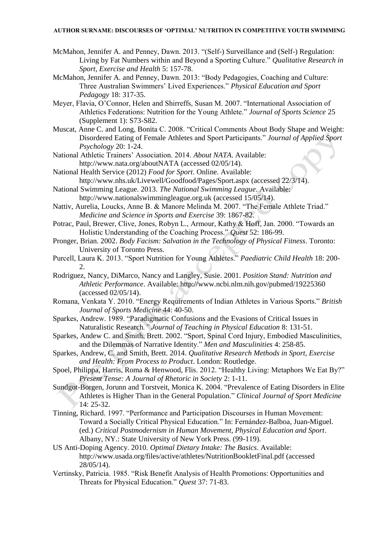McMahon, Jennifer A. and Penney, Dawn. 2013. "(Self-) Surveillance and (Self-) Regulation: Living by Fat Numbers within and Beyond a Sporting Culture." *Qualitative Research in Sport, Exercise and Health* 5: 157-78.

McMahon, Jennifer A. and Penney, Dawn. 2013: "Body Pedagogies, Coaching and Culture: Three Australian Swimmers' Lived Experiences." *Physical Education and Sport Pedagogy* 18: 317-35.

- Meyer, Flavia, O'Connor, Helen and Shirreffs, Susan M. 2007. "International Association of Athletics Federations: Nutrition for the Young Athlete." *Journal of Sports Science* 25 (Supplement 1): S73-S82.
- Muscat, Anne C. and Long, Bonita C. 2008. "Critical Comments About Body Shape and Weight: Disordered Eating of Female Athletes and Sport Participants." *Journal of Applied Sport Psychology* 20: 1-24.
- National Athletic Trainers' Association. 2014. *About NATA*. Available: <http://www.nata.org/aboutNATA> (accessed 02/05/14).
- National Health Service (2012) *Food for Sport*. Online. Available: <http://www.nhs.uk/Livewell/Goodfood/Pages/Sport.aspx> (accessed 22/3/14).
- National Swimming League. 2013. *The National Swimming League*. Available: [http://www.nationalswimmingleague.org.uk](http://www.nationalswimmingleague.org.uk/) (accessed 15/05/14).
- Nattiv, Aurelia, Loucks, Anne B. & Manore Melinda M. 2007. "The Female Athlete Triad." *Medicine and Science in Sports and Exercise* 39: 1867-82.
- Potrac, Paul, Brewer, Clive, Jones, Robyn L., Armour, Kathy & Hoff, Jan. 2000. "Towards an Holistic Understanding of the Coaching Process." *Quest* 52: 186-99.
- Pronger, Brian. 2002. *Body Facism: Salvation in the Technology of Physical Fitness*. Toronto: University of Toronto Press.
- Purcell, Laura K. 2013. "Sport Nutrition for Young Athletes." *Paediatric Child Health* 18: 200- 2.
- Rodriguez, Nancy, DiMarco, Nancy and Langley, Susie. 2001. *Position Stand: Nutrition and Athletic Performance*. Available:<http://www.ncbi.nlm.nih.gov/pubmed/19225360> (accessed 02/05/14).
- Romana, Venkata Y. 2010. "Energy Requirements of Indian Athletes in Various Sports." *British Journal of Sports Medicine* 44: 40-50.
- Sparkes, Andrew. 1989. "Paradigmatic Confusions and the Evasions of Critical Issues in Naturalistic Research*." Journal of Teaching in Physical Education* 8: 131-51.
- Sparkes, Andew C. and Smith, Brett. 2002. "Sport, Spinal Cord Injury, Embodied Masculinities, and the Dilemmas of Narrative Identity." *Men and Masculinities* 4: 258-85.
- Sparkes, Andrew, C. and Smith, Brett. 2014. *Qualitative Research Methods in Sport, Exercise and Health: From Process to Product*. London: Routledge.
- Spoel, Philippa, Harris, Roma & Henwood, Flis. 2012. "Healthy Living: Metaphors We Eat By?" *Present Tense: A Journal of Rhetoric in Society* 2: 1-11.
- Sundgot-Borgen, Jorunn and Torstveit, Monica K. 2004. ["Prevalence](http://web.ebscohost.com/ehost/viewarticle?data=dGJyMPPp44rp2%2fdV0%2bnjisfk5Ie46bVRsKqwTbek63nn5Kx95uXxjL6trVGtqK5Itpa0UrOtuEmxlr9lpOrweezp33vy3%2b2G59q7TLOtsVGyprBLpOLfhuWz44ak2uBV36%2fmPvLX5VW%2fxKR57LOvSreptE61rqR%2b7ejrefKz5I3q4vJ99uoA&hid=8) of Eating Disorders in Elite Athletes [is Higher Than in the General Population."](http://web.ebscohost.com/ehost/viewarticle?data=dGJyMPPp44rp2%2fdV0%2bnjisfk5Ie46bVRsKqwTbek63nn5Kx95uXxjL6trVGtqK5Itpa0UrOtuEmxlr9lpOrweezp33vy3%2b2G59q7TLOtsVGyprBLpOLfhuWz44ak2uBV36%2fmPvLX5VW%2fxKR57LOvSreptE61rqR%2b7ejrefKz5I3q4vJ99uoA&hid=8) *Clinical Journal of Sport Medicine* 14: 25-32.
- Tinning, Richard. 1997. "Performance and Participation Discourses in Human Movement: Toward a Socially Critical Physical Education." In: Fernández-Balboa, Juan-Miguel. (ed.) *Critical Postmodernism in Human Movement, Physical Education and Sport*. Albany, NY.: State University of New York Press. (99-119).
- US Anti-Doping Agency. 2010. *Optimal Dietary Intake: The Basics*. Available: <http://www.usada.org/files/active/athletes/NutritionBookletFinal.pdf> (accessed 28/05/14).
- Vertinsky, Patricia. 1985. "Risk Benefit Analysis of Health Promotions: Opportunities and Threats for Physical Education." *Quest* 37: 71-83.